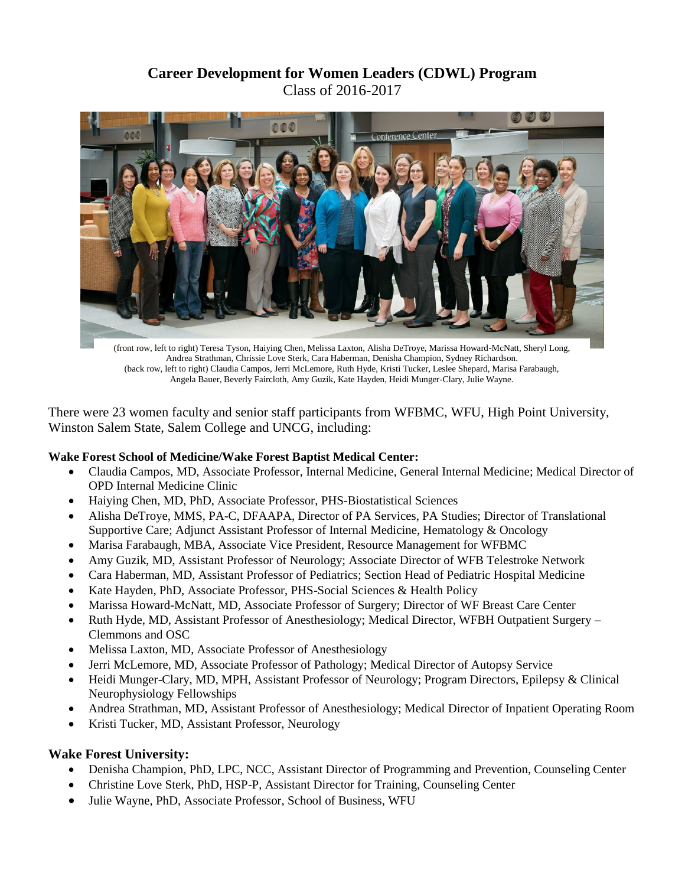# **Career Development for Women Leaders (CDWL) Program** Class of 2016-2017



(front row, left to right) Teresa Tyson, Haiying Chen, Melissa Laxton, Alisha DeTroye, Marissa Howard-McNatt, Sheryl Long, Andrea Strathman, Chrissie Love Sterk, Cara Haberman, Denisha Champion, Sydney Richardson. (back row, left to right) Claudia Campos, Jerri McLemore, Ruth Hyde, Kristi Tucker, Leslee Shepard, Marisa Farabaugh, Angela Bauer, Beverly Faircloth, Amy Guzik, Kate Hayden, Heidi Munger-Clary, Julie Wayne.

There were 23 women faculty and senior staff participants from WFBMC, WFU, High Point University, Winston Salem State, Salem College and UNCG, including:

#### **Wake Forest School of Medicine/Wake Forest Baptist Medical Center:**

- Claudia Campos, MD, Associate Professor, Internal Medicine, General Internal Medicine; Medical Director of OPD Internal Medicine Clinic
- Haiying Chen, MD, PhD, Associate Professor, PHS-Biostatistical Sciences
- Alisha DeTroye, MMS, PA-C, DFAAPA, Director of PA Services, PA Studies; Director of Translational Supportive Care; Adjunct Assistant Professor of Internal Medicine, Hematology & Oncology
- Marisa Farabaugh, MBA, Associate Vice President, Resource Management for WFBMC
- Amy Guzik, MD, Assistant Professor of Neurology; Associate Director of WFB Telestroke Network
- Cara Haberman, MD, Assistant Professor of Pediatrics; Section Head of Pediatric Hospital Medicine
- Kate Hayden, PhD, Associate Professor, PHS-Social Sciences & Health Policy
- Marissa Howard-McNatt, MD, Associate Professor of Surgery; Director of WF Breast Care Center
- Ruth Hyde, MD, Assistant Professor of Anesthesiology; Medical Director, WFBH Outpatient Surgery Clemmons and OSC
- Melissa Laxton, MD, Associate Professor of Anesthesiology
- Jerri McLemore, MD, Associate Professor of Pathology; Medical Director of Autopsy Service
- Heidi Munger-Clary, MD, MPH, Assistant Professor of Neurology; Program Directors, Epilepsy & Clinical Neurophysiology Fellowships
- Andrea Strathman, MD, Assistant Professor of Anesthesiology; Medical Director of Inpatient Operating Room
- Kristi Tucker, MD, Assistant Professor, Neurology

#### **Wake Forest University:**

- Denisha Champion, PhD, LPC, NCC, Assistant Director of Programming and Prevention, Counseling Center
- Christine Love Sterk, PhD, HSP-P, Assistant Director for Training, Counseling Center
- Julie Wayne, PhD, Associate Professor, School of Business, WFU